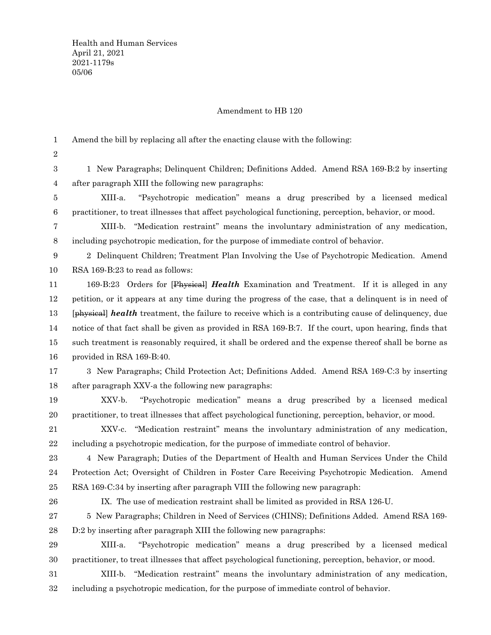## Amendment to HB 120

Amend the bill by replacing all after the enacting clause with the following: 1

2

1 New Paragraphs; Delinquent Children; Definitions Added. Amend RSA 169-B:2 by inserting after paragraph XIII the following new paragraphs: 3 4

XIII-a. "Psychotropic medication" means a drug prescribed by a licensed medical practitioner, to treat illnesses that affect psychological functioning, perception, behavior, or mood. 5 6

XIII-b. "Medication restraint" means the involuntary administration of any medication, including psychotropic medication, for the purpose of immediate control of behavior. 7 8

2 Delinquent Children; Treatment Plan Involving the Use of Psychotropic Medication. Amend RSA 169-B:23 to read as follows: 9 10

169-B:23 Orders for [Physical] *Health* Examination and Treatment. If it is alleged in any petition, or it appears at any time during the progress of the case, that a delinquent is in need of [physical] *health* treatment, the failure to receive which is a contributing cause of delinquency, due notice of that fact shall be given as provided in RSA 169-B:7. If the court, upon hearing, finds that such treatment is reasonably required, it shall be ordered and the expense thereof shall be borne as provided in RSA 169-B:40. 11 12 13 14 15 16

- 3 New Paragraphs; Child Protection Act; Definitions Added. Amend RSA 169-C:3 by inserting after paragraph XXV-a the following new paragraphs: 17 18
- XXV-b. "Psychotropic medication" means a drug prescribed by a licensed medical practitioner, to treat illnesses that affect psychological functioning, perception, behavior, or mood. 19 20

XXV-c. "Medication restraint" means the involuntary administration of any medication, including a psychotropic medication, for the purpose of immediate control of behavior. 21 22

4 New Paragraph; Duties of the Department of Health and Human Services Under the Child Protection Act; Oversight of Children in Foster Care Receiving Psychotropic Medication. Amend RSA 169-C:34 by inserting after paragraph VIII the following new paragraph: 23 24 25

26

IX. The use of medication restraint shall be limited as provided in RSA 126-U.

5 New Paragraphs; Children in Need of Services (CHINS); Definitions Added. Amend RSA 169- D:2 by inserting after paragraph XIII the following new paragraphs: 27 28

XIII-a. "Psychotropic medication" means a drug prescribed by a licensed medical practitioner, to treat illnesses that affect psychological functioning, perception, behavior, or mood. 29 30

XIII-b. "Medication restraint" means the involuntary administration of any medication, including a psychotropic medication, for the purpose of immediate control of behavior. 31 32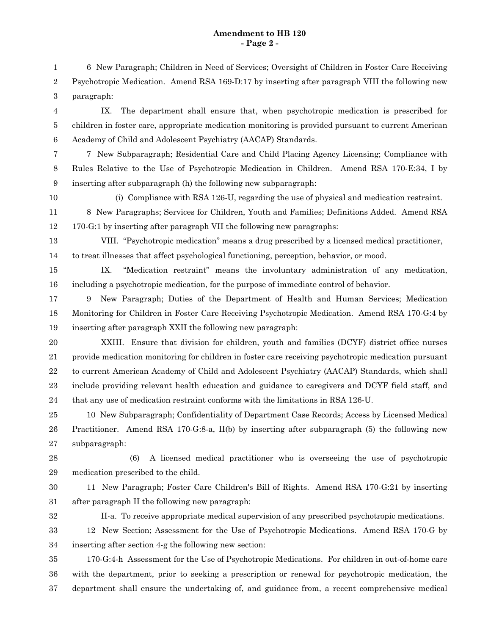## **Amendment to HB 120 - Page 2 -**

6 New Paragraph; Children in Need of Services; Oversight of Children in Foster Care Receiving Psychotropic Medication. Amend RSA 169-D:17 by inserting after paragraph VIII the following new paragraph: 1 2 3

IX. The department shall ensure that, when psychotropic medication is prescribed for children in foster care, appropriate medication monitoring is provided pursuant to current American Academy of Child and Adolescent Psychiatry (AACAP) Standards. 4 5 6

7

7 New Subparagraph; Residential Care and Child Placing Agency Licensing; Compliance with Rules Relative to the Use of Psychotropic Medication in Children. Amend RSA 170-E:34, I by inserting after subparagraph (h) the following new subparagraph: 8 9

10

(i) Compliance with RSA 126-U, regarding the use of physical and medication restraint.

8 New Paragraphs; Services for Children, Youth and Families; Definitions Added. Amend RSA 170-G:1 by inserting after paragraph VII the following new paragraphs: 11 12

VIII. "Psychotropic medication" means a drug prescribed by a licensed medical practitioner, to treat illnesses that affect psychological functioning, perception, behavior, or mood. 13 14

IX. "Medication restraint" means the involuntary administration of any medication, including a psychotropic medication, for the purpose of immediate control of behavior. 15 16

9 New Paragraph; Duties of the Department of Health and Human Services; Medication Monitoring for Children in Foster Care Receiving Psychotropic Medication. Amend RSA 170-G:4 by inserting after paragraph XXII the following new paragraph: 17 18 19

XXIII. Ensure that division for children, youth and families (DCYF) district office nurses provide medication monitoring for children in foster care receiving psychotropic medication pursuant to current American Academy of Child and Adolescent Psychiatry (AACAP) Standards, which shall include providing relevant health education and guidance to caregivers and DCYF field staff, and that any use of medication restraint conforms with the limitations in RSA 126-U. 20 21 22 23 24

10 New Subparagraph; Confidentiality of Department Case Records; Access by Licensed Medical Practitioner. Amend RSA 170-G:8-a, II(b) by inserting after subparagraph (5) the following new subparagraph: 25 26 27

(6) A licensed medical practitioner who is overseeing the use of psychotropic medication prescribed to the child. 28 29

11 New Paragraph; Foster Care Children's Bill of Rights. Amend RSA 170-G:21 by inserting after paragraph II the following new paragraph: 30 31

32

II-a. To receive appropriate medical supervision of any prescribed psychotropic medications.

12 New Section; Assessment for the Use of Psychotropic Medications. Amend RSA 170-G by inserting after section 4-g the following new section: 33 34

170-G:4-h Assessment for the Use of Psychotropic Medications. For children in out-of-home care with the department, prior to seeking a prescription or renewal for psychotropic medication, the department shall ensure the undertaking of, and guidance from, a recent comprehensive medical 35 36 37